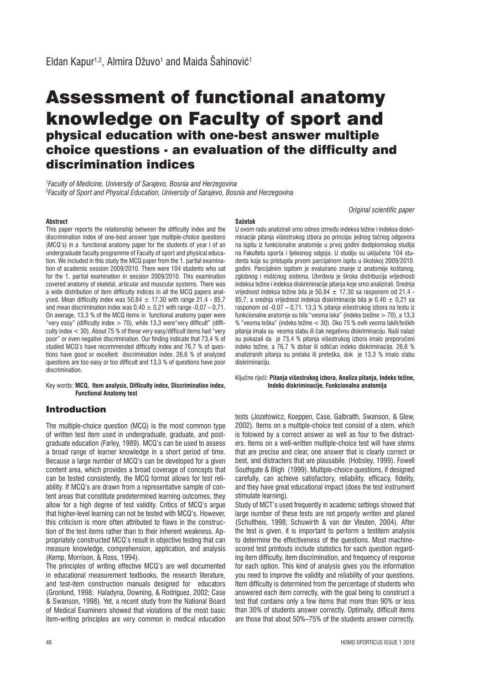# Assessment of functional anatomy knowledge on Faculty of sport and physical education with one-best answer multiple choice questions - an evaluation of the difficulty and discrimination indices

*1 Faculty of Medicine, University of Sarajevo, Bosnia and Herzegovina 2 Faculty of Sport and Physical Education, University of Sarajevo, Bosnia and Herzegovina*

**Abstract**

**Sažetak**

This paper reports the relationship between the difficulty index and the discrimination index of one-best answer type multiple-choice questions (MCQ's) in a functional anatomy paper for the students of year I of an undergraduate faculty programme of Faculty of sport and physical education. We included in this study the MCQ paper from the 1. partial examination of academic session 2009/2010. There were 104 students who sat for the 1. partial examination in session 2009/2010. This examination covered anatomy of skeletal, articular and muscular systems. There was a wide distribution of item difficulty indices in all the MCQ papers analysed. Mean difficulty index was  $50.84 + 17.30$  with range  $21.4 - 85.7$ and mean discrimination index was  $0.40 \pm 0.21$  with range -0.07 – 0.71. On average, 13,3 % of the MCQ items in functional anatomy paper were "very easy" (difficulty index > 70), while 13,3 were"very difficult" (difficulty index  $<$  30). About 75 % of these very easy/difficult items had "very poor" or even negative discrimination. Our finding indicate that 73,4 % of studied MCQ's have recommended difficulty index and 76,7 % of questions have good or excellent discrimination index. 26,6 % of analyzed questions are too easy or too difficult and 13,3 % of questions have poor discrimination.

Key words: **MCQ, Item analysis, Difficulty index, Discrimination index, Functional Anatomy test**

## Introduction

The multiple-choice question (MCQ) is the most common type of written test item used in undergraduate, graduate, and postgraduate education (Farley, 1989). MCQ's can be used to assess a broad range of learner knowledge in a short period of time. Because a large number of MCQ's can be developed for a given content area, which provides a broad coverage of concepts that can be tested consistently, the MCQ format allows for test reliability. If MCQ's are drawn from a representative sample of content areas that constitute predetermined learning outcomes, they allow for a high degree of test validity. Critics of MCQ's argue that higher-level learning can not be tested with MCQ's. However, this criticism is more often attributed to flaws in the construction of the test items rather than to their inherent weakness. Appropriately constructed MCQ's result in objective testing that can measure knowledge, comprehension, application, and analysis (Kemp, Morrison, & Ross, 1994).

The principles of writing effective MCQ's are well documented in educational measurement textbooks, the research literature, and test-item construction manuals designed for educators (Gronlund, 1998; Haladyna, Downing, & Rodriguez, 2002; Case & Swanson, 1998). Yet, a recent study from the National Board of Medical Examiners showed that violations of the most basic item-writing principles are very common in medical education

U ovom radu analizirali smo odnos izmeāu indeksa težine i indeksa diskriminacije pitanja višestrukog izbora po principu jednog tačnog odgovora na ispitu iz funkcionalne anatomije u prvoj godini dodiplomskog studija na Fakultetu sporta i tjelesnog odgoja. U studiju su uključena 104 studenta koja su pristupila prvom parcijalnom ispitu u školskoj 2009/2010. godini. Parcijalnim ispitom je evaluirano znanje iz anatomije koštanog, zglobnog i mišićnog sistema. Utvrđena je široka distribucija vrijednosti indeksa težine i indeksa diskriminacije pitanja koje smo analizirali. Srednja vrijednost indeksa težine bila je 50,84  $\pm$  17,30 sa rasponom od 21,4 -85.7. a srednia vrijednost indeksa diskriminacije bila je 0,40  $\pm$  0,21 sa rasponom od -0,07 – 0,71. 13,3 % pitanja višestrukog izbora na testu iz funkcionalne anatomje su bila "veoma laka" (indeks tzežine > 70), a 13,3 % "veoma teška" (indeks težine < 30). Oko 75 % ovih veoma lakih/teških pitanja imala su veoma slabu ili čak negativnu diskriminaciju. Naši nalazi su pokazali da je 73,4 % pitanja višestrukog izbora imalo preporučeni indeks težine, a 76,7 % dobar ili odličan indeks diskriminacije. 26,6 % analiziranih pitanja su prelaka ili preteška, dok je 13,3 % imalo slabu diskriminaciju.

*Original scientific paper*

Ključne riječi: Pitanja višestrukog izbora, Analiza pitanja, Indeks težine,  **Indeks diskriminacije, Funkcionalna anatomija**

tests (Jozefowicz, Koeppen, Case, Galbraith, Swanson, & Glew, 2002). Items on a multiple-choice test consist of a stem, which is folowed by a correct answer as well as four to five distracters. Items on a well-written multiple-choice test will have stems that are precise and clear, one answer that is clearly correct or best, and distracters that are plausabile. (Hobsley, 1999). Fowell Southgate & Bligh (1999). Multiple-choice questions, if designed carefully, can achieve satisfactory, reliability, efficacy, fidelity, and they have great educational impact (does the test instrument stimulate learning).

Study of MCT's used frequently in academic settings showed that large number of these tests are not properly wrriten and planed (Schultheis, 1998; Schuwirth & van der Vleuten, 2004). After the test is given, it is important to perform a testitem analysis to determine the effectiveness of the questions. Most machinescored test printouts include statistics for each question regarding item difficulty, item discrimination, and frequency of response for each option. This kind of analysis gives you the information you need to improve the validity and reliability of your questions. Item difficulty is determined from the percentage of students who answered each item correctly, with the goal being to construct a test that contains only a few items that more than 90% or less than 30% of students answer correctly. Optimally, difficult items are those that about 50%–75% of the students answer correctly.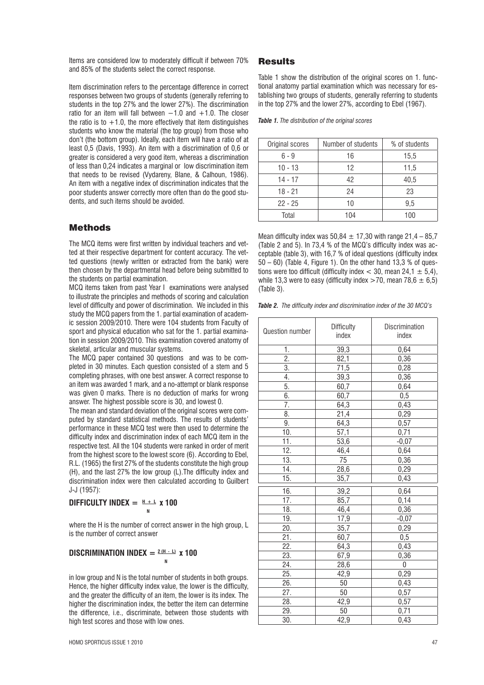Items are considered low to moderately difficult if between 70% and 85% of the students select the correct response.

Item discrimination refers to the percentage difference in correct responses between two groups of students (generally referring to students in the top 27% and the lower 27%). The discrimination ratio for an item will fall between  $-1.0$  and  $+1.0$ . The closer the ratio is to  $+1.0$ , the more effectively that item distinguishes students who know the material (the top group) from those who don't (the bottom group). Ideally, each item will have a ratio of at least 0,5 (Davis, 1993). An item with a discrimination of 0,6 or greater is considered a very good item, whereas a discrimination of less than 0,24 indicates a marginal or low discrimination item that needs to be revised (Vydareny, Blane, & Calhoun, 1986). An item with a negative index of discrimination indicates that the poor students answer correctly more often than do the good students, and such items should be avoided.

### Methods

The MCQ items were first written by individual teachers and vetted at their respective department for content accuracy. The vetted questions (newly written or extracted from the bank) were then chosen by the departmental head before being submitted to the students on partial examination.

MCQ items taken from past Year I examinations were analysed to illustrate the principles and methods of scoring and calculation level of difficulty and power of discrimination. We included in this study the MCQ papers from the 1. partial examination of academic session 2009/2010. There were 104 students from Faculty of sport and physical education who sat for the 1. partial examination in session 2009/2010. This examination covered anatomy of skeletal, articular and muscular systems.

The MCQ paper contained 30 questions and was to be completed in 30 minutes. Each question consisted of a stem and 5 completing phrases, with one best answer. A correct response to an item was awarded 1 mark, and a no-attempt or blank response was given 0 marks. There is no deduction of marks for wrong answer. The highest possible score is 30, and lowest 0.

The mean and standard deviation of the original scores were computed by standard statistical methods. The results of students' performance in these MCQ test were then used to determine the difficulty index and discrimination index of each MCQ item in the respective test. All the 104 students were ranked in order of merit from the highest score to the lowest score (6). According to Ebel, R.L. (1965) the first 27% of the students constitute the high group (H), and the last 27% the low group (L).The difficulty index and discrimination index were then calculated according to Guilbert J-J (1957):

# **DIFFICULTY INDEX =**  $H + L$  **x 100**

where the H is the number of correct answer in the high group, L is the number of correct answer

## **DISCRIMINATION INDEX =**  $2(H - L)$  **x 100**

**N**<br> **N** 

in low group and N is the total number of students in both groups. Hence, the higher difficulty index value, the lower is the difficulty, and the greater the difficulty of an item, the lower is its index. The higher the discrimination index, the better the item can determine the difference, i.e., discriminate, between those students with high test scores and those with low ones.

#### Results

Table 1 show the distribution of the original scores on 1. functional anatomy partial examination which was necessary for establishing two groups of students, generally referring to students in the top 27% and the lower 27%, according to Ebel (1967).

*Table 1. The distribution of the original scores*

| Original scores | Number of students | % of students |
|-----------------|--------------------|---------------|
| $6 - 9$         | 16                 | 15,5          |
| $10 - 13$       | 12                 | 11,5          |
| $14 - 17$       | 42                 | 40,5          |
| $18 - 21$       | 24                 | 23            |
| $22 - 25$       | 10                 | 9,5           |
| Total           | 104                | 100           |

Mean difficulty index was  $50,84 \pm 17,30$  with range  $21,4 - 85,7$ (Table 2 and 5). In 73,4 % of the MCQ's difficulty index was acceptable (table 3), with 16,7 % of ideal questions (difficulty index 50 – 60) (Table 4, Figure 1). On the other hand 13,3 % of questions were too difficult (difficulty index  $<$  30, mean 24,1  $\pm$  5,4), while 13,3 were to easy (difficulty index >70, mean 78,6  $\pm$  6,5) (Table 3).

*Table 2. The difficulty index and discrimination index of the 30 MCQ's*

| Question number   | <b>Difficulty</b><br>index | Discrimination<br>index |
|-------------------|----------------------------|-------------------------|
| 1.                | 39,3                       | 0,64                    |
| $\overline{2}$ .  | 82,1                       | 0,36                    |
| $\overline{3}$ .  | 71,5                       | 0,28                    |
| 4.                | 39,3                       | 0,36                    |
| $\overline{5}$ .  | 60,7                       | 0,64                    |
| $\overline{6}$ .  | 60,7                       | 0,5                     |
| 7.                | 64,3                       | 0,43                    |
| 8.                | $\overline{21,4}$          | 0,29                    |
| 9.                | 64,3                       | 0,57                    |
| 10.               | 57,1                       | 0,71                    |
| 11.               | 53,6                       | $-0,07$                 |
| 12.               | 46,4                       | 0,64                    |
| 13.               | $\overline{75}$            | 0,36                    |
| $\overline{14}$ . | 28,6                       | 0,29                    |
| $\overline{15}$ . | 35,7                       | 0,43                    |
| 16.               | 39,2                       | 0,64                    |
| $\overline{17}$ . | 85,7                       | 0,14                    |
| 18.               | 46,4                       | 0,36                    |
| 19.               | 17,9                       | $-0,07$                 |
| 20.               | 35,7                       | 0,29                    |
| $\overline{2}1.$  | 60,7                       | 0,5                     |
| $\overline{22}$ . | 64,3                       | 0,43                    |
| 23.               | 67,9                       | 0,36                    |
| 24.               | 28,6                       | $\overline{0}$          |
| 25.               | 42,9                       | 0,29                    |
| 26.               | 50                         | 0,43                    |
| $\overline{27}$ . | $\overline{50}$            | 0,57                    |
| 28.               | 42,9                       | 0,57                    |
| 29.               | 50                         | 0,71                    |
| 30.               | 42,9                       | 0,43                    |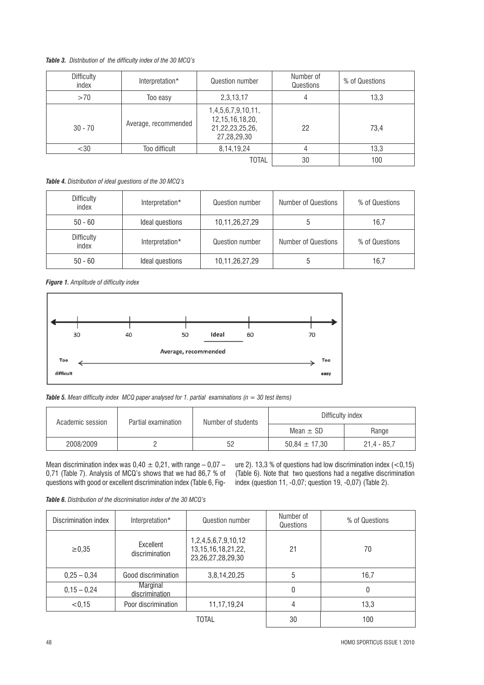*Table 3. Distribution of the difficulty index of the 30 MCQ's*

| <b>Difficulty</b><br>index | Interpretation*      | Question number                                                                 | Number of<br>Questions | % of Questions |
|----------------------------|----------------------|---------------------------------------------------------------------------------|------------------------|----------------|
| >70                        | Too easy             | 2,3,13,17                                                                       | 4                      | 13,3           |
| $30 - 70$                  | Average, recommended | 1,4,5,6,7,9,10,11,<br>12, 15, 16, 18, 20,<br>21, 22, 23, 25, 26,<br>27,28,29,30 | 22                     | 73,4           |
| $<$ 30                     | Too difficult        | 8, 14, 19, 24                                                                   | 4                      | 13,3           |
|                            |                      | <b>TOTAL</b>                                                                    | 30                     | 100            |

*Table 4. Distribution of ideal guestions of the 30 MCQ's*

| Difficulty<br>index | Interpretation* | Question number | <b>Number of Questions</b> | % of Questions |
|---------------------|-----------------|-----------------|----------------------------|----------------|
| $50 - 60$           | Ideal questions | 10,11,26,27,29  |                            | 16.7           |
| Difficulty<br>index | Interpretation* | Question number | <b>Number of Questions</b> | % of Questions |
| $50 - 60$           | Ideal questions | 10,11,26,27,29  |                            | 16.7           |

*Figure 1. Amplitude of difficulty index*



*Table 5. Mean difficulty index MCQ paper analysed for 1. partial examinations (n = 30 test items)* 

| Academic session | Partial examination | Number of students | Difficulty index  |               |
|------------------|---------------------|--------------------|-------------------|---------------|
|                  |                     | Mean $\pm$ SD      | Range             |               |
| 2008/2009        |                     | 52                 | $50.84 \pm 17.30$ | $21.4 - 85.7$ |

Mean discrimination index was  $0,40 \pm 0,21$ , with range  $-0,07$  – 0,71 (Table 7). Analysis of MCQ's shows that we had 86,7 % of questions with good or excellent discrimination index (Table 6, Figure 2). 13,3 % of questions had low discrimination index  $(<0,15)$ (Table 6). Note that two questions had a negative discrimination index (question 11, -0,07; question 19, -0,07) (Table 2).

*Table 6. Distribution of the discrimination index of the 30 MCQ's* 

| Discrimination index | Interpretation*             | Question number                                                          | Number of<br>Questions | % of Questions |
|----------------------|-----------------------------|--------------------------------------------------------------------------|------------------------|----------------|
| $\ge 0,35$           | Excellent<br>discrimination | 1,2,4,5,6,7,9,10,12<br>13, 15, 16, 18, 21, 22,<br>23, 26, 27, 28, 29, 30 | 21                     | 70             |
| $0,25 - 0,34$        | Good discrimination         | 3,8,14,20,25                                                             | 5                      | 16,7           |
| $0,15 - 0,24$        | Marginal<br>discrimination  |                                                                          | 0                      | 0              |
| < 0.15               | Poor discrimination         | 11, 17, 19, 24                                                           | 4                      | 13.3           |
| TOTAL                |                             | 30                                                                       | 100                    |                |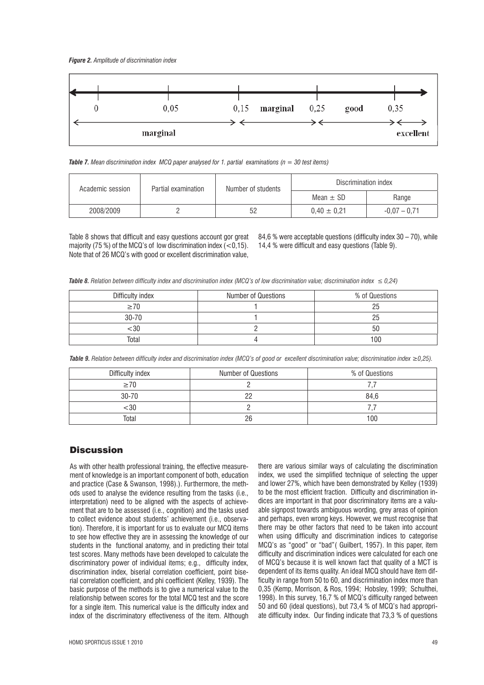

*Table 7. Mean discrimination index MCQ paper analysed for 1. partial examinations (n = 30 test items)*

| Academic session | Partial examination | Number of students | Discrimination index |                |
|------------------|---------------------|--------------------|----------------------|----------------|
|                  |                     | Mean $\pm$ SD      | Range                |                |
| 2008/2009        |                     | 52                 | $0.40 \pm 0.21$      | $-0.07 - 0.71$ |

Table 8 shows that difficult and easy questions account gor great majority (75 %) of the MCQ's of low discrimination index  $\zeta$  < 0.15). Note that of 26 MCQ's with good or excellent discrimination value,

84,6 % were acceptable questions (difficulty index  $30 - 70$ ), while 14,4 % were difficult and easy questions (Table 9).

**Table 8.** Relation between difficulty index and discrimination index (MCQ's of low discrimination value; discrimination index  $\leq 0.24$ )

| Difficulty index | <b>Number of Questions</b> | % of Questions |
|------------------|----------------------------|----------------|
| >70              |                            |                |
| $30 - 70$        |                            | 25             |
| -30              |                            | 50             |
| Total            |                            | 100            |

*Table 9. Relation between difficulty index and discrimination index (MCQ's of good or excellent discrimination value; discrimination index 0,25).*

| Difficulty index | <b>Number of Questions</b> | % of Questions |
|------------------|----------------------------|----------------|
| >70              |                            |                |
| $30 - 70$        | nr                         | 84.6           |
| :30              |                            |                |
| Total            | 26                         | 100            |

#### **Discussion**

As with other health professional training, the effective measurement of knowledge is an important component of both, education and practice (Case & Swanson, 1998).). Furthermore, the methods used to analyse the evidence resulting from the tasks (i.e., interpretation) need to be aligned with the aspects of achievement that are to be assessed (i.e., cognition) and the tasks used to collect evidence about students' achievement (i.e., observation). Therefore, it is important for us to evaluate our MCQ items to see how effective they are in assessing the knowledge of our students in the functional anatomy, and in predicting their total test scores. Many methods have been developed to calculate the discriminatory power of individual items; e.g., difficulty index, discrimination index, biserial correlation coefficient, point biserial correlation coefficient, and phi coefficient (Kelley, 1939). The basic purpose of the methods is to give a numerical value to the relationship between scores for the total MCQ test and the score for a single item. This numerical value is the difficulty index and index of the discriminatory effectiveness of the item. Although there are various similar ways of calculating the discrimination index, we used the simplified technique of selecting the upper and lower 27%, which have been demonstrated by Kelley (1939) to be the most efficient fraction. Difficulty and discrimination indices are important in that poor discriminatory items are a valuable signpost towards ambiguous wording, grey areas of opinion and perhaps, even wrong keys. However, we must recognise that there may be other factors that need to be taken into account when using difficulty and discrimination indices to categorise MCQ's as "good" or "bad"( Guilbert, 1957). In this paper, item difficulty and discrimination indices were calculated for each one of MCQ's because it is well known fact that quality of a MCT is dependent of its items quality. An ideal MCQ should have item difficulty in range from 50 to 60, and discrimination index more than 0,35 (Kemp, Morrison, & Ros, 1994; Hobsley, 1999; Schulthei, 1998). In this survey, 16,7 % of MCQ's difficulty ranged between 50 and 60 (ideal questions), but 73,4 % of MCQ's had appropriate difficulty index. Our finding indicate that 73,3 % of questions